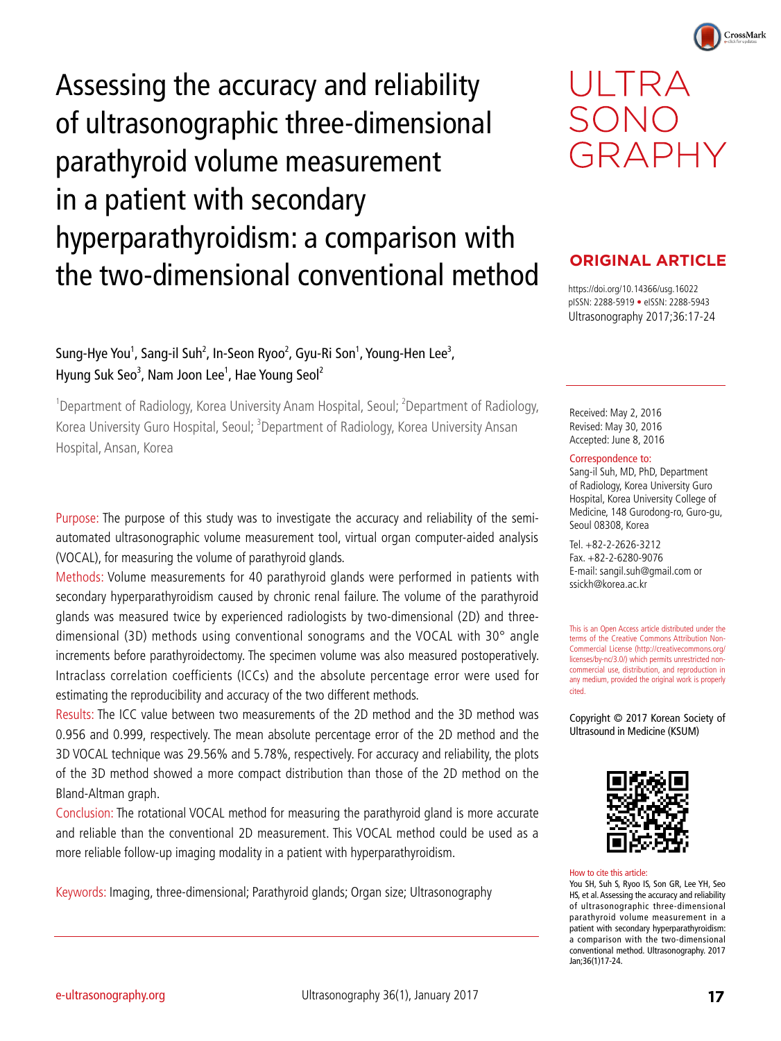Assessing the accuracy and reliability of ultrasonographic three-dimensional parathyroid volume measurement in a patient with secondary hyperparathyroidism: a comparison with the two-dimensional conventional method

# Sung-Hye You<sup>1</sup>, Sang-il Suh<sup>2</sup>, In-Seon Ryoo<sup>2</sup>, Gyu-Ri Son<sup>1</sup>, Young-Hen Lee<sup>3</sup>, Hyung Suk Seo<sup>3</sup>, Nam Joon Lee<sup>1</sup>, Hae Young Seol<sup>2</sup>

<sup>1</sup>Department of Radiology, Korea University Anam Hospital, Seoul; <sup>2</sup>Department of Radiology, Korea University Guro Hospital, Seoul; <sup>3</sup>Department of Radiology, Korea University Ansan Hospital, Ansan, Korea

Purpose: The purpose of this study was to investigate the accuracy and reliability of the semiautomated ultrasonographic volume measurement tool, virtual organ computer-aided analysis (VOCAL), for measuring the volume of parathyroid glands.

Methods: Volume measurements for 40 parathyroid glands were performed in patients with secondary hyperparathyroidism caused by chronic renal failure. The volume of the parathyroid glands was measured twice by experienced radiologists by two-dimensional (2D) and threedimensional (3D) methods using conventional sonograms and the VOCAL with 30° angle increments before parathyroidectomy. The specimen volume was also measured postoperatively. Intraclass correlation coefficients (ICCs) and the absolute percentage error were used for estimating the reproducibility and accuracy of the two different methods.

Results: The ICC value between two measurements of the 2D method and the 3D method was 0.956 and 0.999, respectively. The mean absolute percentage error of the 2D method and the 3D VOCAL technique was 29.56% and 5.78%, respectively. For accuracy and reliability, the plots of the 3D method showed a more compact distribution than those of the 2D method on the Bland-Altman graph.

Conclusion: The rotational VOCAL method for measuring the parathyroid gland is more accurate and reliable than the conventional 2D measurement. This VOCAL method could be used as a more reliable follow-up imaging modality in a patient with hyperparathyroidism.

Keywords: Imaging, three-dimensional; Parathyroid glands; Organ size; Ultrasonography

# UI TRA SONO GRAPHY

CrossMark

# **ORIGINAL ARTICLE**

https://doi.org/10.14366/usg.16022 pISSN: 2288-5919 • eISSN: 2288-5943 Ultrasonography 2017;36:17-24

Received: May 2, 2016 Revised: May 30, 2016 Accepted: June 8, 2016

#### Correspondence to:

Sang-il Suh, MD, PhD, Department of Radiology, Korea University Guro Hospital, Korea University College of Medicine, 148 Gurodong-ro, Guro-gu, Seoul 08308, Korea

Tel. +82-2-2626-3212 Fax. +82-2-6280-9076 E-mail: sangil.suh@gmail.com or ssickh@korea.ac.kr

This is an Open Access article distributed under the terms of the Creative Commons Attribution Non-Commercial License (http://creativecommons.org/ licenses/by-nc/3.0/) which permits unrestricted noncommercial use, distribution, and reproduction in any medium, provided the original work is properly cited.

Copyright © 2017 Korean Society of Ultrasound in Medicine (KSUM)



#### How to cite this article:

You SH, Suh S, Ryoo IS, Son GR, Lee YH, Seo HS, et al. Assessing the accuracy and reliability of ultrasonographic three-dimensional parathyroid volume measurement in a patient with secondary hyperparathyroidism: a comparison with the two-dimensional conventional method. Ultrasonography. 2017 Jan;36(1)17-24.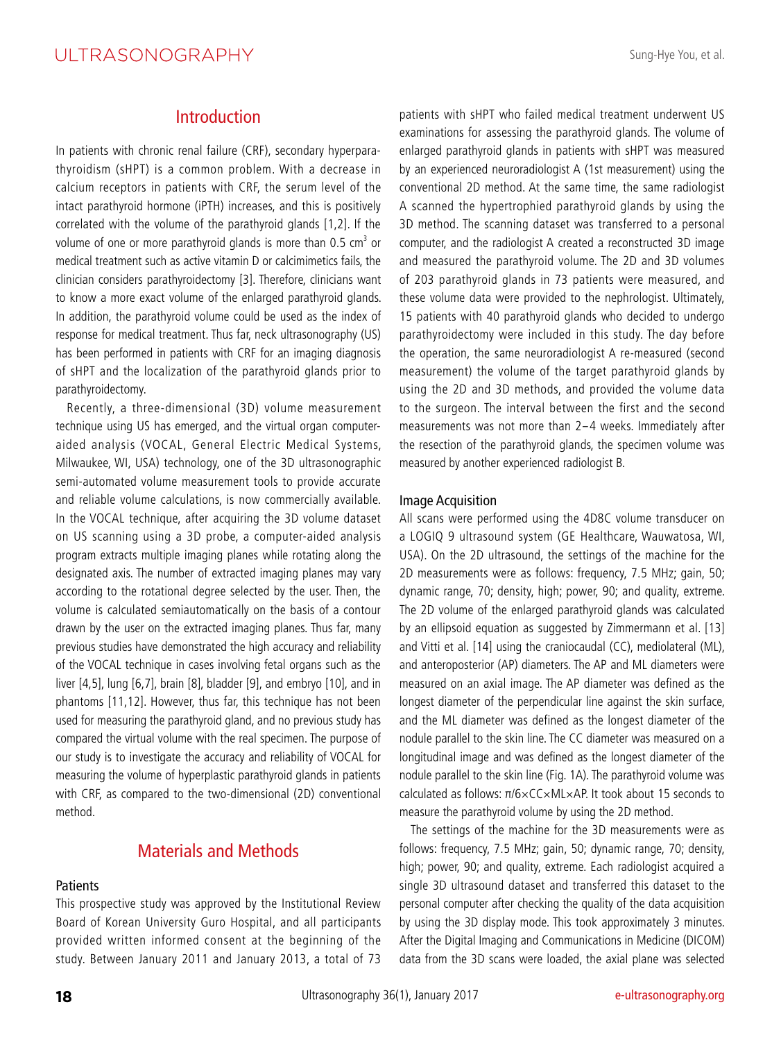## ULTRASONOGRAPHY

## Introduction

In patients with chronic renal failure (CRF), secondary hyperparathyroidism (sHPT) is a common problem. With a decrease in calcium receptors in patients with CRF, the serum level of the intact parathyroid hormone (iPTH) increases, and this is positively correlated with the volume of the parathyroid glands [1,2]. If the volume of one or more parathyroid glands is more than 0.5  $cm<sup>3</sup>$  or medical treatment such as active vitamin D or calcimimetics fails, the clinician considers parathyroidectomy [3]. Therefore, clinicians want to know a more exact volume of the enlarged parathyroid glands. In addition, the parathyroid volume could be used as the index of response for medical treatment. Thus far, neck ultrasonography (US) has been performed in patients with CRF for an imaging diagnosis of sHPT and the localization of the parathyroid glands prior to parathyroidectomy.

Recently, a three-dimensional (3D) volume measurement technique using US has emerged, and the virtual organ computeraided analysis (VOCAL, General Electric Medical Systems, Milwaukee, WI, USA) technology, one of the 3D ultrasonographic semi-automated volume measurement tools to provide accurate and reliable volume calculations, is now commercially available. In the VOCAL technique, after acquiring the 3D volume dataset on US scanning using a 3D probe, a computer-aided analysis program extracts multiple imaging planes while rotating along the designated axis. The number of extracted imaging planes may vary according to the rotational degree selected by the user. Then, the volume is calculated semiautomatically on the basis of a contour drawn by the user on the extracted imaging planes. Thus far, many previous studies have demonstrated the high accuracy and reliability of the VOCAL technique in cases involving fetal organs such as the liver [4,5], lung [6,7], brain [8], bladder [9], and embryo [10], and in phantoms [11,12]. However, thus far, this technique has not been used for measuring the parathyroid gland, and no previous study has compared the virtual volume with the real specimen. The purpose of our study is to investigate the accuracy and reliability of VOCAL for measuring the volume of hyperplastic parathyroid glands in patients with CRF, as compared to the two-dimensional (2D) conventional method.

## Materials and Methods

#### **Patients**

This prospective study was approved by the Institutional Review Board of Korean University Guro Hospital, and all participants provided written informed consent at the beginning of the study. Between January 2011 and January 2013, a total of 73 patients with sHPT who failed medical treatment underwent US examinations for assessing the parathyroid glands. The volume of enlarged parathyroid glands in patients with sHPT was measured by an experienced neuroradiologist A (1st measurement) using the conventional 2D method. At the same time, the same radiologist A scanned the hypertrophied parathyroid glands by using the 3D method. The scanning dataset was transferred to a personal computer, and the radiologist A created a reconstructed 3D image and measured the parathyroid volume. The 2D and 3D volumes of 203 parathyroid glands in 73 patients were measured, and these volume data were provided to the nephrologist. Ultimately, 15 patients with 40 parathyroid glands who decided to undergo parathyroidectomy were included in this study. The day before the operation, the same neuroradiologist A re-measured (second measurement) the volume of the target parathyroid glands by using the 2D and 3D methods, and provided the volume data to the surgeon. The interval between the first and the second measurements was not more than 2-4 weeks. Immediately after the resection of the parathyroid glands, the specimen volume was measured by another experienced radiologist B.

#### Image Acquisition

All scans were performed using the 4D8C volume transducer on a LOGIQ 9 ultrasound system (GE Healthcare, Wauwatosa, WI, USA). On the 2D ultrasound, the settings of the machine for the 2D measurements were as follows: frequency, 7.5 MHz; gain, 50; dynamic range, 70; density, high; power, 90; and quality, extreme. The 2D volume of the enlarged parathyroid glands was calculated by an ellipsoid equation as suggested by Zimmermann et al. [13] and Vitti et al. [14] using the craniocaudal (CC), mediolateral (ML), and anteroposterior (AP) diameters. The AP and ML diameters were measured on an axial image. The AP diameter was defined as the longest diameter of the perpendicular line against the skin surface, and the ML diameter was defined as the longest diameter of the nodule parallel to the skin line. The CC diameter was measured on a longitudinal image and was defined as the longest diameter of the nodule parallel to the skin line (Fig. 1A). The parathyroid volume was calculated as follows: π/6×CC×ML×AP. It took about 15 seconds to measure the parathyroid volume by using the 2D method.

The settings of the machine for the 3D measurements were as follows: frequency, 7.5 MHz; gain, 50; dynamic range, 70; density, high; power, 90; and quality, extreme. Each radiologist acquired a single 3D ultrasound dataset and transferred this dataset to the personal computer after checking the quality of the data acquisition by using the 3D display mode. This took approximately 3 minutes. After the Digital Imaging and Communications in Medicine (DICOM) data from the 3D scans were loaded, the axial plane was selected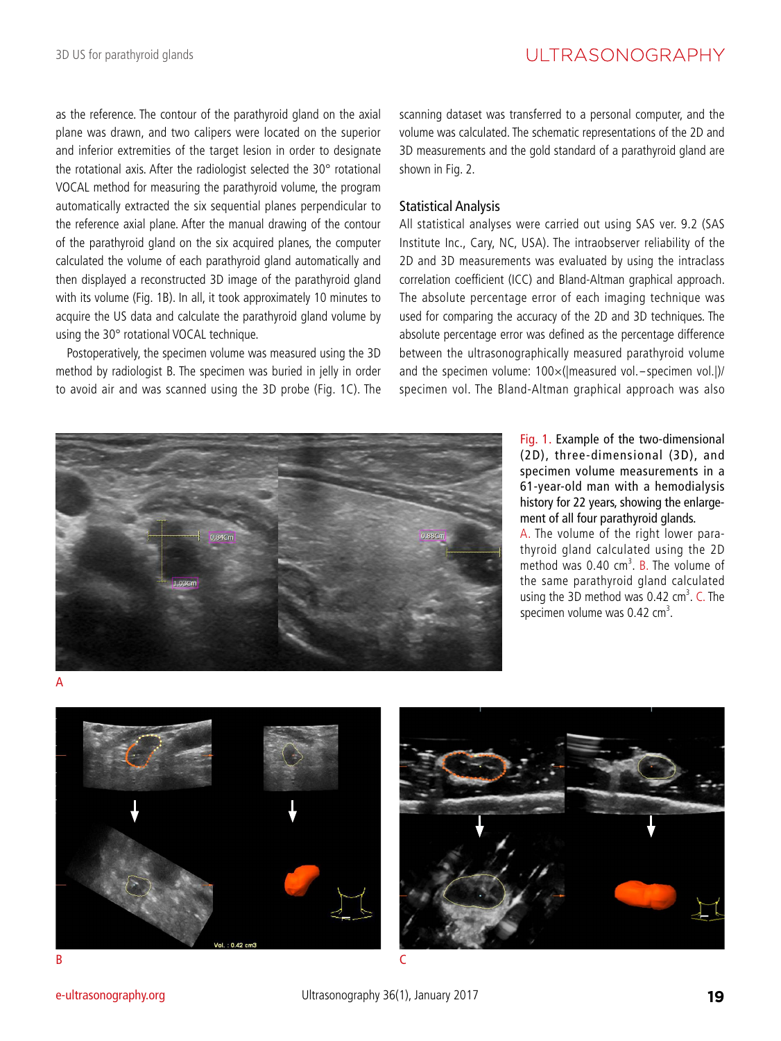as the reference. The contour of the parathyroid gland on the axial plane was drawn, and two calipers were located on the superior and inferior extremities of the target lesion in order to designate the rotational axis. After the radiologist selected the 30° rotational VOCAL method for measuring the parathyroid volume, the program automatically extracted the six sequential planes perpendicular to the reference axial plane. After the manual drawing of the contour of the parathyroid gland on the six acquired planes, the computer calculated the volume of each parathyroid gland automatically and then displayed a reconstructed 3D image of the parathyroid gland with its volume (Fig. 1B). In all, it took approximately 10 minutes to acquire the US data and calculate the parathyroid gland volume by using the 30° rotational VOCAL technique.

Postoperatively, the specimen volume was measured using the 3D method by radiologist B. The specimen was buried in jelly in order to avoid air and was scanned using the 3D probe (Fig. 1C). The scanning dataset was transferred to a personal computer, and the volume was calculated. The schematic representations of the 2D and 3D measurements and the gold standard of a parathyroid gland are shown in Fig. 2.

#### Statistical Analysis

All statistical analyses were carried out using SAS ver. 9.2 (SAS Institute Inc., Cary, NC, USA). The intraobserver reliability of the 2D and 3D measurements was evaluated by using the intraclass correlation coefficient (ICC) and Bland-Altman graphical approach. The absolute percentage error of each imaging technique was used for comparing the accuracy of the 2D and 3D techniques. The absolute percentage error was defined as the percentage difference between the ultrasonographically measured parathyroid volume and the specimen volume:  $100\times$ (|measured vol.-specimen vol.|)/ specimen vol. The Bland-Altman graphical approach was also



Fig. 1. Example of the two-dimensional (2D), three-dimensional (3D), and specimen volume measurements in a 61-year-old man with a hemodialysis history for 22 years, showing the enlargement of all four parathyroid glands.

A. The volume of the right lower parathyroid gland calculated using the 2D method was  $0.40 \text{ cm}^3$ . B. The volume of the same parathyroid gland calculated using the 3D method was  $0.42 \text{ cm}^3$ . C. The specimen volume was  $0.42 \text{ cm}^3$ .





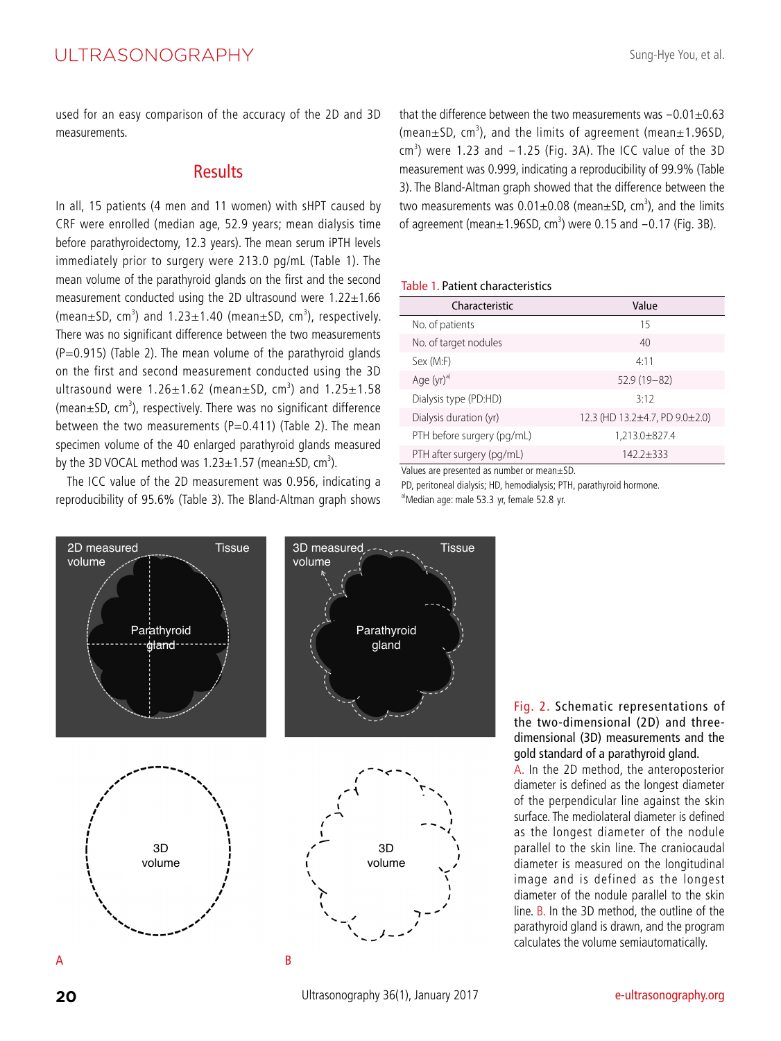used for an easy comparison of the accuracy of the 2D and 3D measurements.

## **Results**

In all, 15 patients (4 men and 11 women) with sHPT caused by CRF were enrolled (median age, 52.9 years; mean dialysis time before parathyroidectomy, 12.3 years). The mean serum iPTH levels immediately prior to surgery were 213.0 pg/mL (Table 1). The mean volume of the parathyroid glands on the first and the second measurement conducted using the 2D ultrasound were  $1.22 \pm 1.66$ (mean $\pm$ SD, cm<sup>3</sup>) and 1.23 $\pm$ 1.40 (mean $\pm$ SD, cm<sup>3</sup>), respectively. There was no significant difference between the two measurements  $(P=0.915)$  (Table 2). The mean volume of the parathyroid glands on the first and second measurement conducted using the 3D ultrasound were  $1.26 \pm 1.62$  (mean $\pm$ SD, cm<sup>3</sup>) and  $1.25 \pm 1.58$  $(mean \pm SD, cm<sup>3</sup>)$ , respectively. There was no significant difference between the two measurements (P=0.411) (Table 2). The mean specimen volume of the 40 enlarged parathyroid glands measured by the 3D VOCAL method was 1.23 $\pm$ 1.57 (mean $\pm$ SD, cm<sup>3</sup>).

The ICC value of the 2D measurement was 0.956, indicating a reproducibility of 95.6% (Table 3). The Bland-Altman graph shows that the difference between the two measurements was  $-0.01\pm0.63$  $(mean ± SD, cm<sup>3</sup>)$ , and the limits of agreement (mean $\pm 1.96SD$ ,  $\text{cm}^3$ ) were 1.23 and  $-1.25$  (Fig. 3A). The ICC value of the 3D measurement was 0.999, indicating a reproducibility of 99.9% (Table 3). The Bland-Altman graph showed that the difference between the two measurements was  $0.01 \pm 0.08$  (mean $\pm$ SD, cm<sup>3</sup>), and the limits of agreement (mean $\pm$ 1.96SD, cm<sup>3</sup>) were 0.15 and  $-0.17$  (Fig. 3B).

#### Table 1. Patient characteristics

| Characteristic             | Value                          |  |
|----------------------------|--------------------------------|--|
| No. of patients            | 15                             |  |
| No. of target nodules      | 40                             |  |
| Sex (M:F)                  | 4.11                           |  |
| Age $(yr)^{a}$             | $52.9(19-82)$                  |  |
| Dialysis type (PD:HD)      | 3.12                           |  |
| Dialysis duration (yr)     | 12.3 (HD 13.2±4.7, PD 9.0±2.0) |  |
| PTH before surgery (pg/mL) | 1,213.0±827.4                  |  |
| PTH after surgery (pg/mL)  | $1422+333$                     |  |

Values are presented as number or mean±SD.

PD, peritoneal dialysis; HD, hemodialysis; PTH, parathyroid hormone.

a)Median age: male 53.3 yr, female 52.8 yr.



Fig. 2. Schematic representations of the two-dimensional (2D) and threedimensional (3D) measurements and the gold standard of a parathyroid gland.

A. In the 2D method, the anteroposterior diameter is defined as the longest diameter of the perpendicular line against the skin surface. The mediolateral diameter is defined as the longest diameter of the nodule parallel to the skin line. The craniocaudal diameter is measured on the longitudinal image and is defined as the longest diameter of the nodule parallel to the skin line. B. In the 3D method, the outline of the parathyroid gland is drawn, and the program calculates the volume semiautomatically.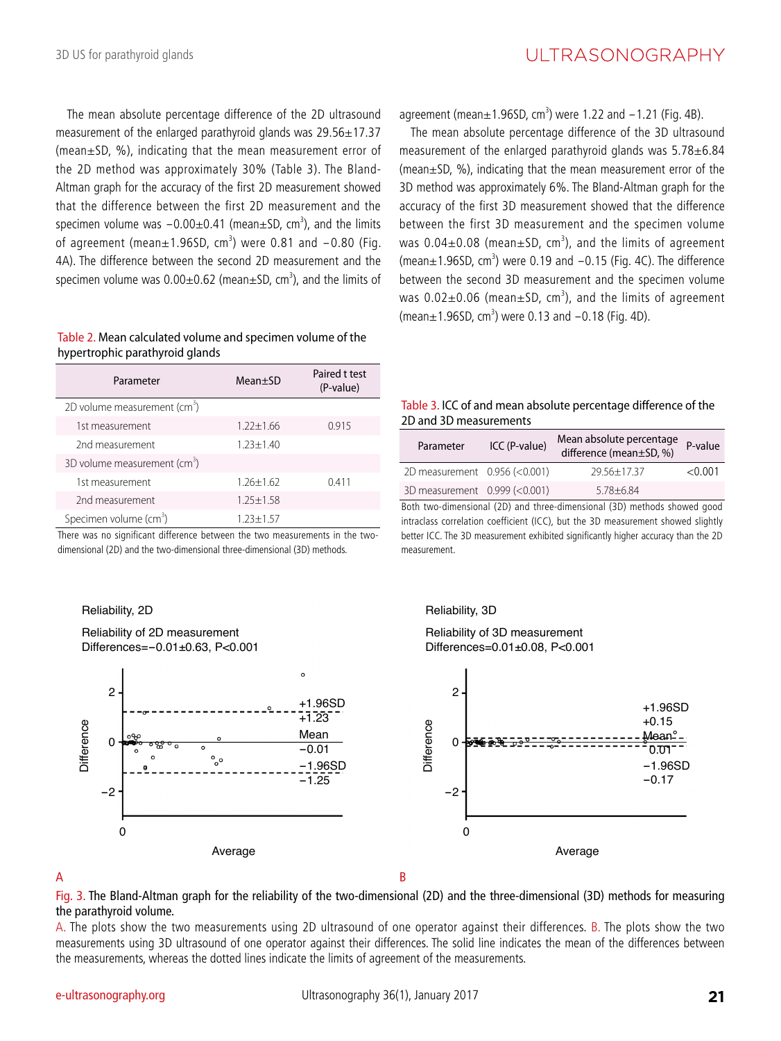The mean absolute percentage difference of the 2D ultrasound measurement of the enlarged parathyroid glands was 29.56±17.37 (mean±SD, %), indicating that the mean measurement error of the 2D method was approximately 30% (Table 3). The Bland-Altman graph for the accuracy of the first 2D measurement showed that the difference between the first 2D measurement and the specimen volume was  $-0.00 \pm 0.41$  (mean $\pm$ SD, cm<sup>3</sup>), and the limits  $\sigma$  agreement (mean $\pm 1.965D$ , cm<sup>3</sup>) were 0.81 and  $-0.80$  (Fig. 4A). The difference between the second 2D measurement and the specimen volume was  $0.00\pm0.62$  (mean $\pm$ SD, cm<sup>3</sup>), and the limits of

#### Table 2. Mean calculated volume and specimen volume of the hypertrophic parathyroid glands

| Parameter                                | $Mean+SD$     | Paired t test<br>(P-value) |
|------------------------------------------|---------------|----------------------------|
| 2D volume measurement (cm <sup>3</sup> ) |               |                            |
| 1st measurement                          | $1.22 + 1.66$ | 0.915                      |
| 2nd measurement                          | $1.23 + 1.40$ |                            |
| 3D volume measurement $(cm3)$            |               |                            |
| 1st measurement                          | $126+162$     | 0.411                      |
| 2nd measurement                          | $1.25 + 1.58$ |                            |
| Specimen volume (cm <sup>3</sup> )       | $1.23 + 1.57$ |                            |

There was no significant difference between the two measurements in the twodimensional (2D) and the two-dimensional three-dimensional (3D) methods.

Reliability, 2D





 $a$ greement (mean $\pm 1.96$ SD, cm<sup>3</sup>) were 1.22 and  $-1.21$  (Fig. 4B).

The mean absolute percentage difference of the 3D ultrasound measurement of the enlarged parathyroid glands was 5.78±6.84 (mean±SD, %), indicating that the mean measurement error of the 3D method was approximately 6%. The Bland-Altman graph for the accuracy of the first 3D measurement showed that the difference between the first 3D measurement and the specimen volume was  $0.04\pm0.08$  (mean $\pm$ SD, cm<sup>3</sup>), and the limits of agreement  $(mear+1.96SD, cm<sup>3</sup>)$  were 0.19 and  $-0.15$  (Fig. 4C). The difference between the second 3D measurement and the specimen volume was  $0.02\pm0.06$  (mean $\pm$ SD, cm<sup>3</sup>), and the limits of agreement  $(\text{mean} \pm 1.965D, \text{cm}^3)$  were 0.13 and  $-0.18$  (Fig. 4D).

#### Table 3. ICC of and mean absolute percentage difference of the 2D and 3D measurements

| Parameter                     | ICC (P-value) | Mean absolute percentage<br>difference (mean±SD, %) | P-value |
|-------------------------------|---------------|-----------------------------------------------------|---------|
| 2D measurement 0.956 (<0.001) |               | $29.56 + 17.37$                                     | < 0.001 |
| 3D measurement 0.999 (<0.001) |               | $5.78 + 6.84$                                       |         |

Both two-dimensional (2D) and three-dimensional (3D) methods showed good intraclass correlation coefficient (ICC), but the 3D measurement showed slightly better ICC. The 3D measurement exhibited significantly higher accuracy than the 2D measurement.

Reliability, 3D

Reliability of 3D measurement Differences=0.01±0.08, P<0.001



#### $\mathsf A$  B

Fig. 3. The Bland-Altman graph for the reliability of the two-dimensional (2D) and the three-dimensional (3D) methods for measuring the parathyroid volume.

A. The plots show the two measurements using 2D ultrasound of one operator against their differences. B. The plots show the two measurements using 3D ultrasound of one operator against their differences. The solid line indicates the mean of the differences between the measurements, whereas the dotted lines indicate the limits of agreement of the measurements.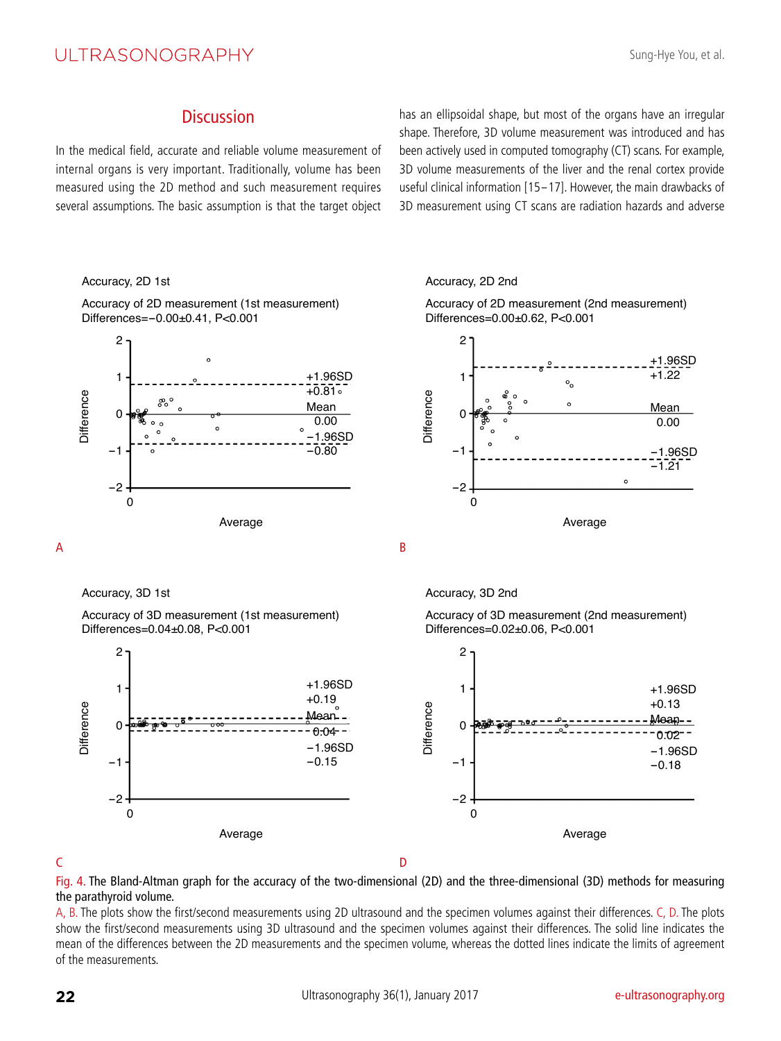# ULTRASONOGRAPHY

## **Discussion**

In the medical field, accurate and reliable volume measurement of internal organs is very important. Traditionally, volume has been measured using the 2D method and such measurement requires several assumptions. The basic assumption is that the target object has an ellipsoidal shape, but most of the organs have an irregular shape. Therefore, 3D volume measurement was introduced and has been actively used in computed tomography (CT) scans. For example, 3D volume measurements of the liver and the renal cortex provide useful clinical information [15-17]. However, the main drawbacks of 3D measurement using CT scans are radiation hazards and adverse

#### Accuracy, 2D 1st

Accuracy of 2D measurement (1st measurement) Differences=-0.00±0.41, P<0.001



Accuracy, 3D 1st

Accuracy of 3D measurement (1st measurement) Differences=0.04±0.08, P<0.001









Accuracy, 3D 2nd

Accuracy of 3D measurement (2nd measurement) Differences=0.02±0.06, P<0.001



C<sub>2</sub> D<sub>2</sub>

Fig. 4. The Bland-Altman graph for the accuracy of the two-dimensional (2D) and the three-dimensional (3D) methods for measuring the parathyroid volume.

A, B. The plots show the first/second measurements using 2D ultrasound and the specimen volumes against their differences. C, D. The plots show the first/second measurements using 3D ultrasound and the specimen volumes against their differences. The solid line indicates the mean of the differences between the 2D measurements and the specimen volume, whereas the dotted lines indicate the limits of agreement of the measurements.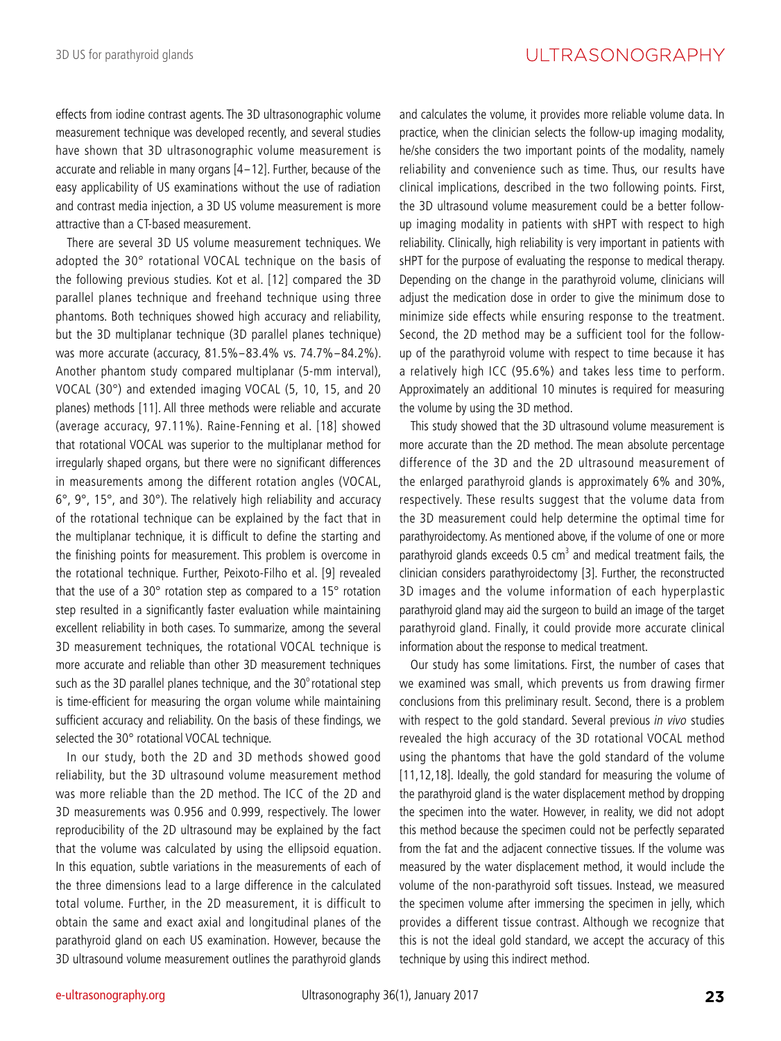effects from iodine contrast agents. The 3D ultrasonographic volume measurement technique was developed recently, and several studies have shown that 3D ultrasonographic volume measurement is accurate and reliable in many organs [4-12]. Further, because of the easy applicability of US examinations without the use of radiation and contrast media injection, a 3D US volume measurement is more attractive than a CT-based measurement.

There are several 3D US volume measurement techniques. We adopted the 30° rotational VOCAL technique on the basis of the following previous studies. Kot et al. [12] compared the 3D parallel planes technique and freehand technique using three phantoms. Both techniques showed high accuracy and reliability, but the 3D multiplanar technique (3D parallel planes technique) was more accurate (accuracy, 81.5%-83.4% vs. 74.7%-84.2%). Another phantom study compared multiplanar (5-mm interval), VOCAL (30°) and extended imaging VOCAL (5, 10, 15, and 20 planes) methods [11]. All three methods were reliable and accurate (average accuracy, 97.11%). Raine-Fenning et al. [18] showed that rotational VOCAL was superior to the multiplanar method for irregularly shaped organs, but there were no significant differences in measurements among the different rotation angles (VOCAL, 6°, 9°, 15°, and 30°). The relatively high reliability and accuracy of the rotational technique can be explained by the fact that in the multiplanar technique, it is difficult to define the starting and the finishing points for measurement. This problem is overcome in the rotational technique. Further, Peixoto-Filho et al. [9] revealed that the use of a 30° rotation step as compared to a 15° rotation step resulted in a significantly faster evaluation while maintaining excellent reliability in both cases. To summarize, among the several 3D measurement techniques, the rotational VOCAL technique is more accurate and reliable than other 3D measurement techniques such as the 3D parallel planes technique, and the  $30^{\circ}$  rotational step is time-efficient for measuring the organ volume while maintaining sufficient accuracy and reliability. On the basis of these findings, we selected the 30° rotational VOCAL technique.

In our study, both the 2D and 3D methods showed good reliability, but the 3D ultrasound volume measurement method was more reliable than the 2D method. The ICC of the 2D and 3D measurements was 0.956 and 0.999, respectively. The lower reproducibility of the 2D ultrasound may be explained by the fact that the volume was calculated by using the ellipsoid equation. In this equation, subtle variations in the measurements of each of the three dimensions lead to a large difference in the calculated total volume. Further, in the 2D measurement, it is difficult to obtain the same and exact axial and longitudinal planes of the parathyroid gland on each US examination. However, because the 3D ultrasound volume measurement outlines the parathyroid glands

and calculates the volume, it provides more reliable volume data. In practice, when the clinician selects the follow-up imaging modality, he/she considers the two important points of the modality, namely reliability and convenience such as time. Thus, our results have clinical implications, described in the two following points. First, the 3D ultrasound volume measurement could be a better followup imaging modality in patients with sHPT with respect to high reliability. Clinically, high reliability is very important in patients with sHPT for the purpose of evaluating the response to medical therapy. Depending on the change in the parathyroid volume, clinicians will adjust the medication dose in order to give the minimum dose to minimize side effects while ensuring response to the treatment. Second, the 2D method may be a sufficient tool for the followup of the parathyroid volume with respect to time because it has a relatively high ICC (95.6%) and takes less time to perform. Approximately an additional 10 minutes is required for measuring the volume by using the 3D method.

This study showed that the 3D ultrasound volume measurement is more accurate than the 2D method. The mean absolute percentage difference of the 3D and the 2D ultrasound measurement of the enlarged parathyroid glands is approximately 6% and 30%, respectively. These results suggest that the volume data from the 3D measurement could help determine the optimal time for parathyroidectomy. As mentioned above, if the volume of one or more parathyroid glands exceeds  $0.5 \text{ cm}^3$  and medical treatment fails, the clinician considers parathyroidectomy [3]. Further, the reconstructed 3D images and the volume information of each hyperplastic parathyroid gland may aid the surgeon to build an image of the target parathyroid gland. Finally, it could provide more accurate clinical information about the response to medical treatment.

Our study has some limitations. First, the number of cases that we examined was small, which prevents us from drawing firmer conclusions from this preliminary result. Second, there is a problem with respect to the gold standard. Several previous in vivo studies revealed the high accuracy of the 3D rotational VOCAL method using the phantoms that have the gold standard of the volume [11,12,18]. Ideally, the gold standard for measuring the volume of the parathyroid gland is the water displacement method by dropping the specimen into the water. However, in reality, we did not adopt this method because the specimen could not be perfectly separated from the fat and the adjacent connective tissues. If the volume was measured by the water displacement method, it would include the volume of the non-parathyroid soft tissues. Instead, we measured the specimen volume after immersing the specimen in jelly, which provides a different tissue contrast. Although we recognize that this is not the ideal gold standard, we accept the accuracy of this technique by using this indirect method.